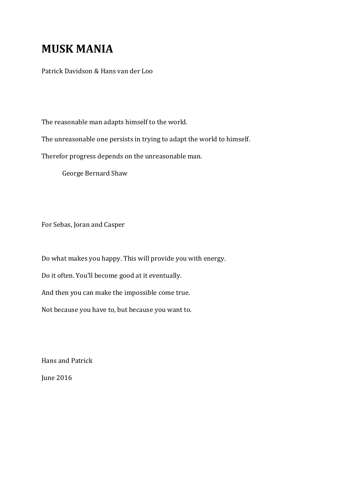# **MUSK MANIA**

Patrick Davidson & Hans van der Loo

The reasonable man adapts himself to the world.

The unreasonable one persists in trying to adapt the world to himself.

Therefor progress depends on the unreasonable man.

George Bernard Shaw

For Sebas, Joran and Casper

Do what makes you happy. This will provide you with energy.

Do it often. You'll become good at it eventually.

And then you can make the impossible come true.

Not because you have to, but because you want to.

Hans and Patrick

June 2016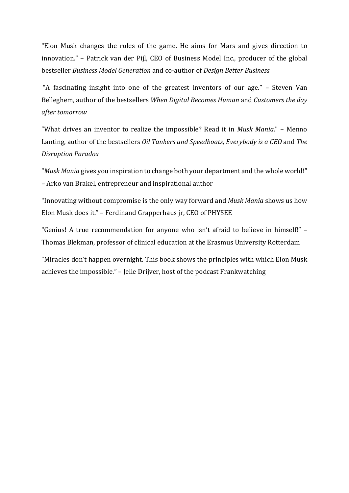"Elon Musk changes the rules of the game. He aims for Mars and gives direction to innovation." – Patrick van der Pijl, CEO of Business Model Inc., producer of the global bestseller *Business Model Generation* and co-author of *Design Better Business*

"A fascinating insight into one of the greatest inventors of our age." – Steven Van Belleghem, author of the bestsellers *When Digital Becomes Human* and *Customers the day after tomorrow*

"What drives an inventor to realize the impossible? Read it in *Musk Mania*." – Menno Lanting, author of the bestsellers *Oil Tankers and Speedboats*, *Everybody is a CEO* and *The Disruption Paradox*

"*Musk Mania* gives you inspiration to change both your department and the whole world!" – Arko van Brakel, entrepreneur and inspirational author

"Innovating without compromise is the only way forward and *Musk Mania* shows us how Elon Musk does it." – Ferdinand Grapperhaus jr, CEO of PHYSEE

"Genius! A true recommendation for anyone who isn't afraid to believe in himself!" – Thomas Blekman, professor of clinical education at the Erasmus University Rotterdam

"Miracles don't happen overnight. This book shows the principles with which Elon Musk achieves the impossible." – Jelle Drijver, host of the podcast Frankwatching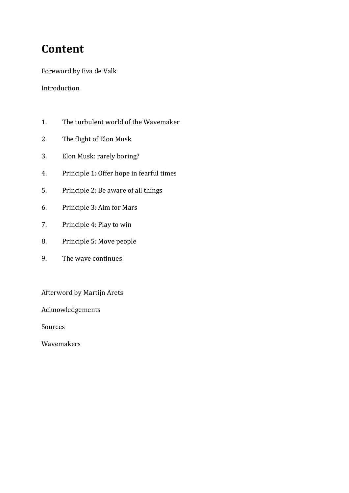# **Content**

Foreword by Eva de Valk

Introduction

- 1. The turbulent world of the Wavemaker
- 2. The flight of Elon Musk
- 3. Elon Musk: rarely boring?
- 4. Principle 1: Offer hope in fearful times
- 5. Principle 2: Be aware of all things
- 6. Principle 3: Aim for Mars
- 7. Principle 4: Play to win
- 8. Principle 5: Move people
- 9. The wave continues

Afterword by Martijn Arets

Acknowledgements

Sources

Wavemakers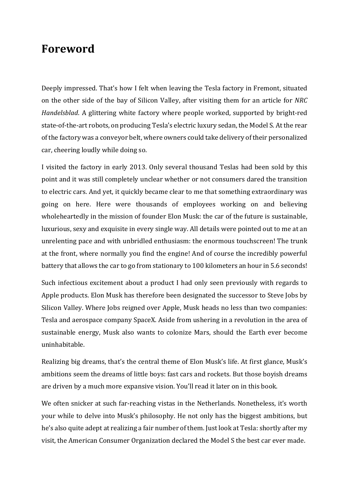# **Foreword**

Deeply impressed. That's how I felt when leaving the Tesla factory in Fremont, situated on the other side of the bay of Silicon Valley, after visiting them for an article for *NRC Handelsblad*. A glittering white factory where people worked, supported by bright-red state-of-the-art robots, on producing Tesla's electric luxury sedan, the Model S. At the rear of the factory was a conveyor belt, where owners could take delivery of their personalized car, cheering loudly while doing so.

I visited the factory in early 2013. Only several thousand Teslas had been sold by this point and it was still completely unclear whether or not consumers dared the transition to electric cars. And yet, it quickly became clear to me that something extraordinary was going on here. Here were thousands of employees working on and believing wholeheartedly in the mission of founder Elon Musk: the car of the future is sustainable, luxurious, sexy and exquisite in every single way. All details were pointed out to me at an unrelenting pace and with unbridled enthusiasm: the enormous touchscreen! The trunk at the front, where normally you find the engine! And of course the incredibly powerful battery that allows the car to go from stationary to 100 kilometers an hour in 5.6 seconds!

Such infectious excitement about a product I had only seen previously with regards to Apple products. Elon Musk has therefore been designated the successor to Steve Jobs by Silicon Valley. Where Jobs reigned over Apple, Musk heads no less than two companies: Tesla and aerospace company SpaceX. Aside from ushering in a revolution in the area of sustainable energy, Musk also wants to colonize Mars, should the Earth ever become uninhabitable.

Realizing big dreams, that's the central theme of Elon Musk's life. At first glance, Musk's ambitions seem the dreams of little boys: fast cars and rockets. But those boyish dreams are driven by a much more expansive vision. You'll read it later on in this book.

We often snicker at such far-reaching vistas in the Netherlands. Nonetheless, it's worth your while to delve into Musk's philosophy. He not only has the biggest ambitions, but he's also quite adept at realizing a fair number of them. Just look at Tesla: shortly after my visit, the American Consumer Organization declared the Model S the best car ever made.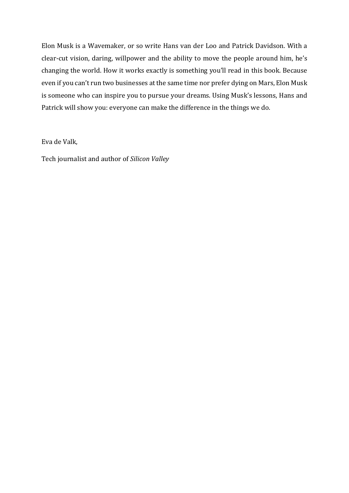Elon Musk is a Wavemaker, or so write Hans van der Loo and Patrick Davidson. With a clear-cut vision, daring, willpower and the ability to move the people around him, he's changing the world. How it works exactly is something you'll read in this book. Because even if you can't run two businesses at the same time nor prefer dying on Mars, Elon Musk is someone who can inspire you to pursue your dreams. Using Musk's lessons, Hans and Patrick will show you: everyone can make the difference in the things we do.

Eva de Valk,

Tech journalist and author of *Silicon Valley*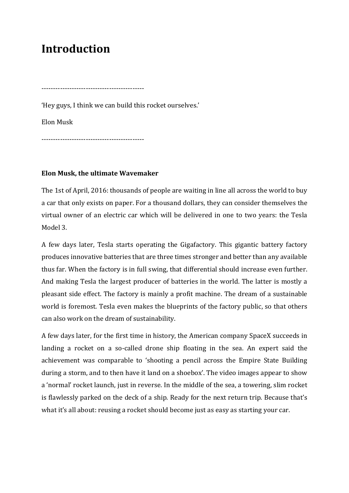# **Introduction**

--------------------------------------------

'Hey guys, I think we can build this rocket ourselves.'

Elon Musk

--------------------------------------------

### **Elon Musk, the ultimate Wavemaker**

The 1st of April, 2016: thousands of people are waiting in line all across the world to buy a car that only exists on paper. For a thousand dollars, they can consider themselves the virtual owner of an electric car which will be delivered in one to two years: the Tesla Model 3.

A few days later, Tesla starts operating the Gigafactory. This gigantic battery factory produces innovative batteries that are three times stronger and better than any available thus far. When the factory is in full swing, that differential should increase even further. And making Tesla the largest producer of batteries in the world. The latter is mostly a pleasant side effect. The factory is mainly a profit machine. The dream of a sustainable world is foremost. Tesla even makes the blueprints of the factory public, so that others can also work on the dream of sustainability.

A few days later, for the first time in history, the American company SpaceX succeeds in landing a rocket on a so-called drone ship floating in the sea. An expert said the achievement was comparable to 'shooting a pencil across the Empire State Building during a storm, and to then have it land on a shoebox'. The video images appear to show a 'normal' rocket launch, just in reverse. In the middle of the sea, a towering, slim rocket is flawlessly parked on the deck of a ship. Ready for the next return trip. Because that's what it's all about: reusing a rocket should become just as easy as starting your car.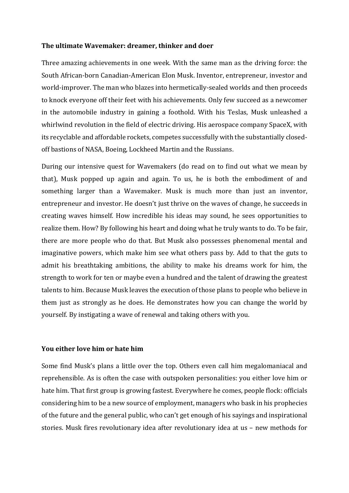#### **The ultimate Wavemaker: dreamer, thinker and doer**

Three amazing achievements in one week. With the same man as the driving force: the South African-born Canadian-American Elon Musk. Inventor, entrepreneur, investor and world-improver. The man who blazes into hermetically-sealed worlds and then proceeds to knock everyone off their feet with his achievements. Only few succeed as a newcomer in the automobile industry in gaining a foothold. With his Teslas, Musk unleashed a whirlwind revolution in the field of electric driving. His aerospace company SpaceX, with its recyclable and affordable rockets, competes successfully with the substantially closedoff bastions of NASA, Boeing, Lockheed Martin and the Russians.

During our intensive quest for Wavemakers (do read on to find out what we mean by that), Musk popped up again and again. To us, he is both the embodiment of and something larger than a Wavemaker. Musk is much more than just an inventor, entrepreneur and investor. He doesn't just thrive on the waves of change, he succeeds in creating waves himself. How incredible his ideas may sound, he sees opportunities to realize them. How? By following his heart and doing what he truly wants to do. To be fair, there are more people who do that. But Musk also possesses phenomenal mental and imaginative powers, which make him see what others pass by. Add to that the guts to admit his breathtaking ambitions, the ability to make his dreams work for him, the strength to work for ten or maybe even a hundred and the talent of drawing the greatest talents to him. Because Musk leaves the execution of those plans to people who believe in them just as strongly as he does. He demonstrates how you can change the world by yourself. By instigating a wave of renewal and taking others with you.

### **You either love him or hate him**

Some find Musk's plans a little over the top. Others even call him megalomaniacal and reprehensible. As is often the case with outspoken personalities: you either love him or hate him. That first group is growing fastest. Everywhere he comes, people flock: officials considering him to be a new source of employment, managers who bask in his prophecies of the future and the general public, who can't get enough of his sayings and inspirational stories. Musk fires revolutionary idea after revolutionary idea at us – new methods for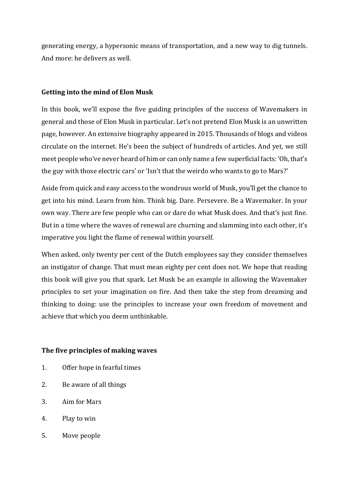generating energy, a hypersonic means of transportation, and a new way to dig tunnels. And more: he delivers as well.

## **Getting into the mind of Elon Musk**

In this book, we'll expose the five guiding principles of the success of Wavemakers in general and those of Elon Musk in particular. Let's not pretend Elon Musk is an unwritten page, however. An extensive biography appeared in 2015. Thousands of blogs and videos circulate on the internet. He's been the subject of hundreds of articles. And yet, we still meet people who've never heard of him or can only name a few superficial facts: 'Oh, that's the guy with those electric cars' or 'Isn't that the weirdo who wants to go to Mars?'

Aside from quick and easy access to the wondrous world of Musk, you'll get the chance to get into his mind. Learn from him. Think big. Dare. Persevere. Be a Wavemaker. In your own way. There are few people who can or dare do what Musk does. And that's just fine. But in a time where the waves of renewal are churning and slamming into each other, it's imperative you light the flame of renewal within yourself.

When asked, only twenty per cent of the Dutch employees say they consider themselves an instigator of change. That must mean eighty per cent does not. We hope that reading this book will give you that spark. Let Musk be an example in allowing the Wavemaker principles to set your imagination on fire. And then take the step from dreaming and thinking to doing: use the principles to increase your own freedom of movement and achieve that which you deem unthinkable.

### **The five principles of making waves**

- 1. Offer hope in fearful times
- 2. Be aware of all things
- 3. Aim for Mars
- 4. Play to win
- 5. Move people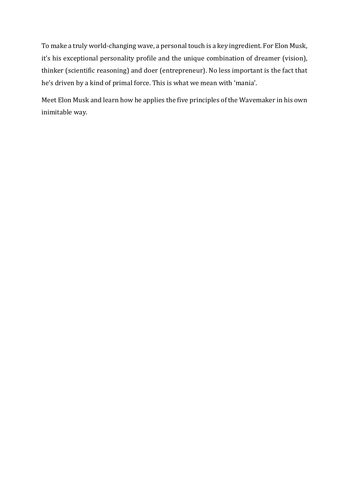To make a truly world-changing wave, a personal touch is a key ingredient. For Elon Musk, it's his exceptional personality profile and the unique combination of dreamer (vision), thinker (scientific reasoning) and doer (entrepreneur). No less important is the fact that he's driven by a kind of primal force. This is what we mean with 'mania'.

Meet Elon Musk and learn how he applies the five principles of the Wavemaker in his own inimitable way.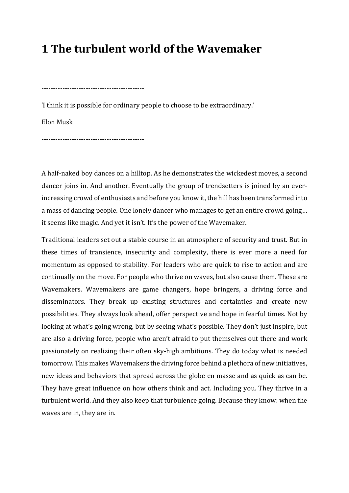# **1 The turbulent world of the Wavemaker**

--------------------------------------------

'I think it is possible for ordinary people to choose to be extraordinary.'

Elon Musk

--------------------------------------------

A half-naked boy dances on a hilltop. As he demonstrates the wickedest moves, a second dancer joins in. And another. Eventually the group of trendsetters is joined by an everincreasing crowd of enthusiasts and before you know it, the hill has been transformed into a mass of dancing people. One lonely dancer who manages to get an entire crowd going… it seems like magic. And yet it isn't. It's the power of the Wavemaker.

Traditional leaders set out a stable course in an atmosphere of security and trust. But in these times of transience, insecurity and complexity, there is ever more a need for momentum as opposed to stability. For leaders who are quick to rise to action and are continually on the move. For people who thrive on waves, but also cause them. These are Wavemakers. Wavemakers are game changers, hope bringers, a driving force and disseminators. They break up existing structures and certainties and create new possibilities. They always look ahead, offer perspective and hope in fearful times. Not by looking at what's going wrong, but by seeing what's possible. They don't just inspire, but are also a driving force, people who aren't afraid to put themselves out there and work passionately on realizing their often sky-high ambitions. They do today what is needed tomorrow. This makes Wavemakers the driving force behind a plethora of new initiatives, new ideas and behaviors that spread across the globe en masse and as quick as can be. They have great influence on how others think and act. Including you. They thrive in a turbulent world. And they also keep that turbulence going. Because they know: when the waves are in, they are in.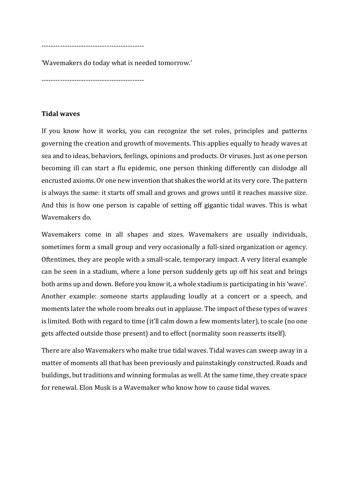--------------------------------------------

'Wavemakers do today what is needed tomorrow.'

--------------------------------------------

#### **Tidal waves**

If you know how it works, you can recognize the set roles, principles and patterns governing the creation and growth of movements. This applies equally to heady waves at sea and to ideas, behaviors, feelings, opinions and products. Or viruses. Just as one person becoming ill can start a flu epidemic, one person thinking differently can dislodge all encrusted axioms. Or one new invention that shakes the world at its very core. The pattern is always the same: it starts off small and grows and grows until it reaches massive size. And this is how one person is capable of setting off gigantic tidal waves. This is what Wavemakers do.

Wavemakers come in all shapes and sizes. Wavemakers are usually individuals, sometimes form a small group and very occasionally a full-sized organization or agency. Oftentimes, they are people with a small-scale, temporary impact. A very literal example can be seen in a stadium, where a lone person suddenly gets up off his seat and brings both arms up and down. Before you know it, a whole stadium is participating in his 'wave'. Another example: someone starts applauding loudly at a concert or a speech, and moments later the whole room breaks out in applause. The impact of these types of waves is limited. Both with regard to time (it'll calm down a few moments later), to scale (no one gets affected outside those present) and to effect (normality soon reasserts itself).

There are also Wavemakers who make true tidal waves. Tidal waves can sweep away in a matter of moments all that has been previously and painstakingly constructed. Roads and buildings, but traditions and winning formulas as well. At the same time, they create space for renewal. Elon Musk is a Wavemaker who know how to cause tidal waves.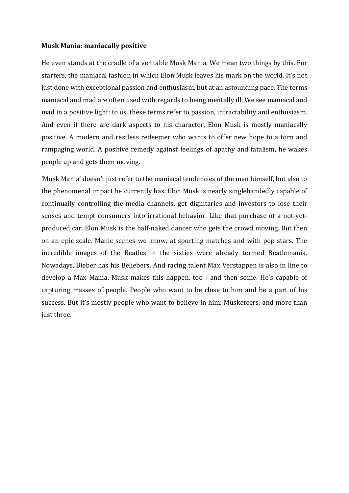#### **Musk Mania: maniacally positive**

He even stands at the cradle of a veritable Musk Mania. We mean two things by this. For starters, the maniacal fashion in which Elon Musk leaves his mark on the world. It's not just done with exceptional passion and enthusiasm, but at an astounding pace. The terms maniacal and mad are often used with regards to being mentally ill. We see maniacal and mad in a positive light: to us, these terms refer to passion, intractability and enthusiasm. And even if there are dark aspects to his character, Elon Musk is mostly maniacally positive. A modern and restless redeemer who wants to offer new hope to a torn and rampaging world. A positive remedy against feelings of apathy and fatalism, he wakes people up and gets them moving.

'Musk Mania' doesn't just refer to the maniacal tendencies of the man himself, but also to the phenomenal impact he currently has. Elon Musk is nearly singlehandedly capable of continually controlling the media channels, get dignitaries and investors to lose their senses and tempt consumers into irrational behavior. Like that purchase of a not-yetproduced car. Elon Musk is the half-naked dancer who gets the crowd moving. But then on an epic scale. Manic scenes we know, at sporting matches and with pop stars. The incredible images of the Beatles in the sixties were already termed Beatlemania. Nowadays, Bieber has his Beliebers. And racing talent Max Verstappen is also in line to develop a Max Mania. Musk makes this happen, too - and then some. He's capable of capturing masses of people. People who want to be close to him and be a part of his success. But it's mostly people who want to believe in him: Musketeers, and more than just three.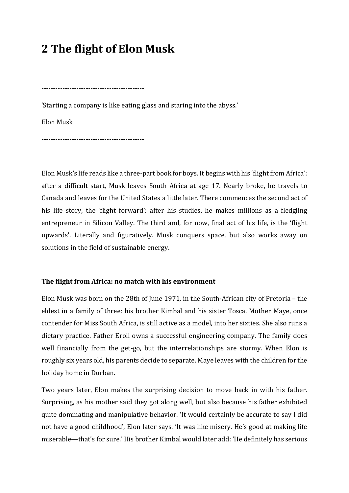# **2 The flight of Elon Musk**

--------------------------------------------

'Starting a company is like eating glass and staring into the abyss.'

Elon Musk

--------------------------------------------

Elon Musk's life reads like a three-part book for boys. It begins with his 'flight from Africa': after a difficult start, Musk leaves South Africa at age 17. Nearly broke, he travels to Canada and leaves for the United States a little later. There commences the second act of his life story, the 'flight forward': after his studies, he makes millions as a fledgling entrepreneur in Silicon Valley. The third and, for now, final act of his life, is the 'flight upwards'. Literally and figuratively. Musk conquers space, but also works away on solutions in the field of sustainable energy.

### **The flight from Africa: no match with his environment**

Elon Musk was born on the 28th of June 1971, in the South-African city of Pretoria – the eldest in a family of three: his brother Kimbal and his sister Tosca. Mother Maye, once contender for Miss South Africa, is still active as a model, into her sixties. She also runs a dietary practice. Father Eroll owns a successful engineering company. The family does well financially from the get-go, but the interrelationships are stormy. When Elon is roughly six years old, his parents decide to separate. Maye leaves with the children for the holiday home in Durban.

Two years later, Elon makes the surprising decision to move back in with his father. Surprising, as his mother said they got along well, but also because his father exhibited quite dominating and manipulative behavior. 'It would certainly be accurate to say I did not have a good childhood', Elon later says. 'It was like misery. He's good at making life miserable—that's for sure.' His brother Kimbal would later add: 'He definitely has serious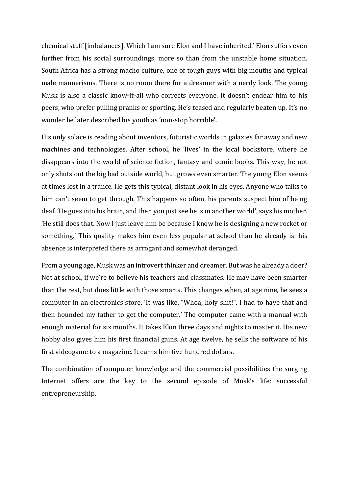chemical stuff [imbalances]. Which I am sure Elon and I have inherited.' Elon suffers even further from his social surroundings, more so than from the unstable home situation. South Africa has a strong macho culture, one of tough guys with big mouths and typical male mannerisms. There is no room there for a dreamer with a nerdy look. The young Musk is also a classic know-it-all who corrects everyone. It doesn't endear him to his peers, who prefer pulling pranks or sporting. He's teased and regularly beaten up. It's no wonder he later described his youth as 'non-stop horrible'.

His only solace is reading about inventors, futuristic worlds in galaxies far away and new machines and technologies. After school, he 'lives' in the local bookstore, where he disappears into the world of science fiction, fantasy and comic books. This way, he not only shuts out the big bad outside world, but grows even smarter. The young Elon seems at times lost in a trance. He gets this typical, distant look in his eyes. Anyone who talks to him can't seem to get through. This happens so often, his parents suspect him of being deaf. 'He goes into his brain, and then you just see he is in another world', says his mother. 'He still does that. Now I just leave him be because I know he is designing a new rocket or something.' This quality makes him even less popular at school than he already is: his absence is interpreted there as arrogant and somewhat deranged.

From a young age, Musk was an introvert thinker and dreamer. But was he already a doer? Not at school, if we're to believe his teachers and classmates. He may have been smarter than the rest, but does little with those smarts. This changes when, at age nine, he sees a computer in an electronics store. 'It was like, "Whoa, holy shit!". I had to have that and then hounded my father to get the computer.' The computer came with a manual with enough material for six months. It takes Elon three days and nights to master it. His new hobby also gives him his first financial gains. At age twelve, he sells the software of his first videogame to a magazine. It earns him five hundred dollars.

The combination of computer knowledge and the commercial possibilities the surging Internet offers are the key to the second episode of Musk's life: successful entrepreneurship.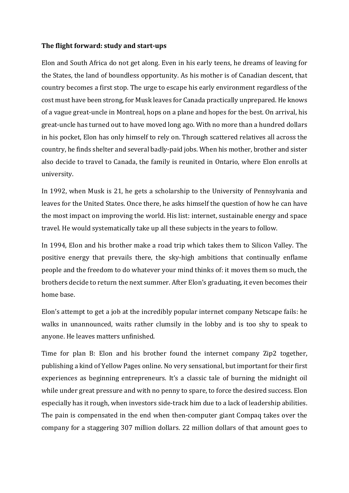### **The flight forward: study and start-ups**

Elon and South Africa do not get along. Even in his early teens, he dreams of leaving for the States, the land of boundless opportunity. As his mother is of Canadian descent, that country becomes a first stop. The urge to escape his early environment regardless of the cost must have been strong, for Musk leaves for Canada practically unprepared. He knows of a vague great-uncle in Montreal, hops on a plane and hopes for the best. On arrival, his great-uncle has turned out to have moved long ago. With no more than a hundred dollars in his pocket, Elon has only himself to rely on. Through scattered relatives all across the country, he finds shelter and several badly-paid jobs. When his mother, brother and sister also decide to travel to Canada, the family is reunited in Ontario, where Elon enrolls at university.

In 1992, when Musk is 21, he gets a scholarship to the University of Pennsylvania and leaves for the United States. Once there, he asks himself the question of how he can have the most impact on improving the world. His list: internet, sustainable energy and space travel. He would systematically take up all these subjects in the years to follow.

In 1994, Elon and his brother make a road trip which takes them to Silicon Valley. The positive energy that prevails there, the sky-high ambitions that continually enflame people and the freedom to do whatever your mind thinks of: it moves them so much, the brothers decide to return the next summer. After Elon's graduating, it even becomes their home base.

Elon's attempt to get a job at the incredibly popular internet company Netscape fails: he walks in unannounced, waits rather clumsily in the lobby and is too shy to speak to anyone. He leaves matters unfinished.

Time for plan B: Elon and his brother found the internet company Zip2 together, publishing a kind of Yellow Pages online. No very sensational, but important for their first experiences as beginning entrepreneurs. It's a classic tale of burning the midnight oil while under great pressure and with no penny to spare, to force the desired success. Elon especially has it rough, when investors side-track him due to a lack of leadership abilities. The pain is compensated in the end when then-computer giant Compaq takes over the company for a staggering 307 million dollars. 22 million dollars of that amount goes to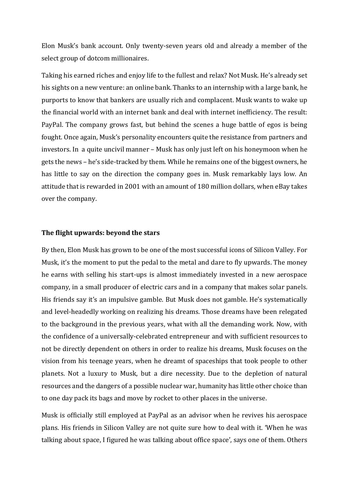Elon Musk's bank account. Only twenty-seven years old and already a member of the select group of dotcom millionaires.

Taking his earned riches and enjoy life to the fullest and relax? Not Musk. He's already set his sights on a new venture: an online bank. Thanks to an internship with a large bank, he purports to know that bankers are usually rich and complacent. Musk wants to wake up the financial world with an internet bank and deal with internet inefficiency. The result: PayPal. The company grows fast, but behind the scenes a huge battle of egos is being fought. Once again, Musk's personality encounters quite the resistance from partners and investors. In a quite uncivil manner – Musk has only just left on his honeymoon when he gets the news – he's side-tracked by them. While he remains one of the biggest owners, he has little to say on the direction the company goes in. Musk remarkably lays low. An attitude that is rewarded in 2001 with an amount of 180 million dollars, when eBay takes over the company.

#### **The flight upwards: beyond the stars**

By then, Elon Musk has grown to be one of the most successful icons of Silicon Valley. For Musk, it's the moment to put the pedal to the metal and dare to fly upwards. The money he earns with selling his start-ups is almost immediately invested in a new aerospace company, in a small producer of electric cars and in a company that makes solar panels. His friends say it's an impulsive gamble. But Musk does not gamble. He's systematically and level-headedly working on realizing his dreams. Those dreams have been relegated to the background in the previous years, what with all the demanding work. Now, with the confidence of a universally-celebrated entrepreneur and with sufficient resources to not be directly dependent on others in order to realize his dreams, Musk focuses on the vision from his teenage years, when he dreamt of spaceships that took people to other planets. Not a luxury to Musk, but a dire necessity. Due to the depletion of natural resources and the dangers of a possible nuclear war, humanity has little other choice than to one day pack its bags and move by rocket to other places in the universe.

Musk is officially still employed at PayPal as an advisor when he revives his aerospace plans. His friends in Silicon Valley are not quite sure how to deal with it. 'When he was talking about space, I figured he was talking about office space', says one of them. Others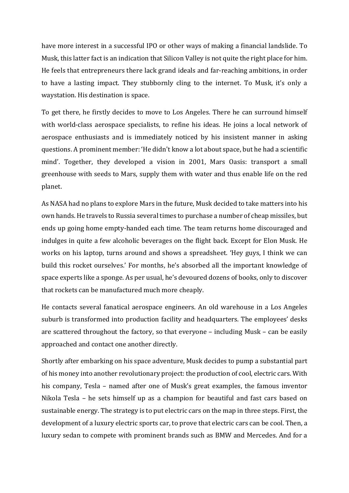have more interest in a successful IPO or other ways of making a financial landslide. To Musk, this latter fact is an indication that Silicon Valley is not quite the right place for him. He feels that entrepreneurs there lack grand ideals and far-reaching ambitions, in order to have a lasting impact. They stubbornly cling to the internet. To Musk, it's only a waystation. His destination is space.

To get there, he firstly decides to move to Los Angeles. There he can surround himself with world-class aerospace specialists, to refine his ideas. He joins a local network of aerospace enthusiasts and is immediately noticed by his insistent manner in asking questions. A prominent member: 'He didn't know a lot about space, but he had a scientific mind'. Together, they developed a vision in 2001, Mars Oasis: transport a small greenhouse with seeds to Mars, supply them with water and thus enable life on the red planet.

As NASA had no plans to explore Mars in the future, Musk decided to take matters into his own hands. He travels to Russia several times to purchase a number of cheap missiles, but ends up going home empty-handed each time. The team returns home discouraged and indulges in quite a few alcoholic beverages on the flight back. Except for Elon Musk. He works on his laptop, turns around and shows a spreadsheet. 'Hey guys, I think we can build this rocket ourselves.' For months, he's absorbed all the important knowledge of space experts like a sponge. As per usual, he's devoured dozens of books, only to discover that rockets can be manufactured much more cheaply.

He contacts several fanatical aerospace engineers. An old warehouse in a Los Angeles suburb is transformed into production facility and headquarters. The employees' desks are scattered throughout the factory, so that everyone – including Musk – can be easily approached and contact one another directly.

Shortly after embarking on his space adventure, Musk decides to pump a substantial part of his money into another revolutionary project: the production of cool, electric cars. With his company, Tesla – named after one of Musk's great examples, the famous inventor Nikola Tesla – he sets himself up as a champion for beautiful and fast cars based on sustainable energy. The strategy is to put electric cars on the map in three steps. First, the development of a luxury electric sports car, to prove that electric cars can be cool. Then, a luxury sedan to compete with prominent brands such as BMW and Mercedes. And for a